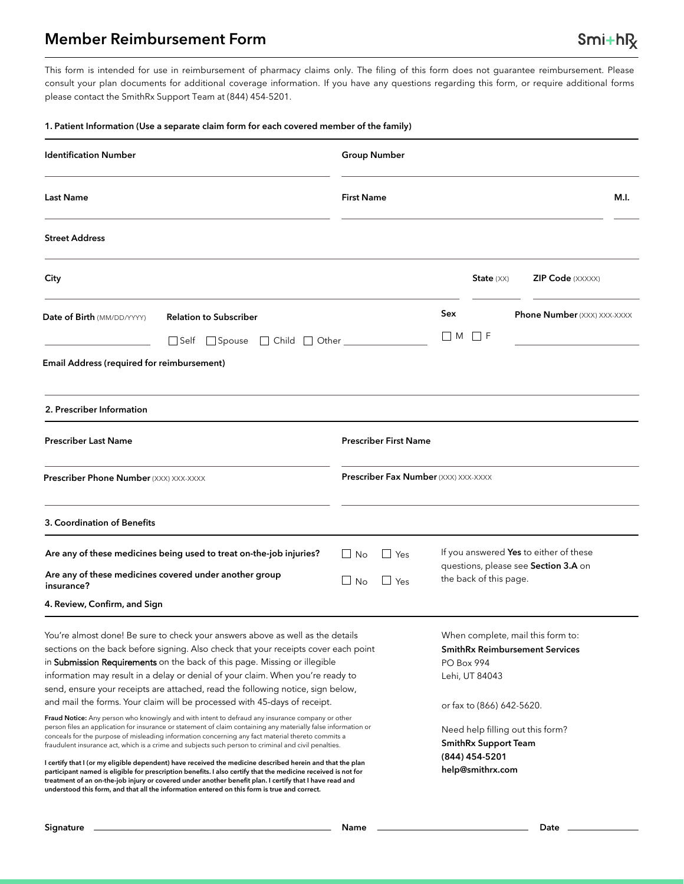## **Member Reimbursement Form**

This form is intended for use in reimbursement of pharmacy claims only. The filing of this form does not guarantee reimbursement. Please consult your plan documents for additional coverage information. If you have any questions regarding this form, or require additional forms please contact the SmithRx Support Team at (844) 454-5201.

#### **1. Patient Information (Use a separate claim form for each covered member of the family)**

| <b>Identification Number</b>                                                                                                                                                                                                                                                                                                                                                                                                                                                                                                                                                                                                                                                                                                                                                                                                                                                                                                                                                                                                                                                                                                                                                                                                                                                                                                                                                                                      | <b>Group Number</b>                                            |                                                                                                                                                                                                                                                  |  |  |
|-------------------------------------------------------------------------------------------------------------------------------------------------------------------------------------------------------------------------------------------------------------------------------------------------------------------------------------------------------------------------------------------------------------------------------------------------------------------------------------------------------------------------------------------------------------------------------------------------------------------------------------------------------------------------------------------------------------------------------------------------------------------------------------------------------------------------------------------------------------------------------------------------------------------------------------------------------------------------------------------------------------------------------------------------------------------------------------------------------------------------------------------------------------------------------------------------------------------------------------------------------------------------------------------------------------------------------------------------------------------------------------------------------------------|----------------------------------------------------------------|--------------------------------------------------------------------------------------------------------------------------------------------------------------------------------------------------------------------------------------------------|--|--|
| <b>Last Name</b>                                                                                                                                                                                                                                                                                                                                                                                                                                                                                                                                                                                                                                                                                                                                                                                                                                                                                                                                                                                                                                                                                                                                                                                                                                                                                                                                                                                                  | <b>First Name</b><br>M.I.                                      |                                                                                                                                                                                                                                                  |  |  |
| <b>Street Address</b>                                                                                                                                                                                                                                                                                                                                                                                                                                                                                                                                                                                                                                                                                                                                                                                                                                                                                                                                                                                                                                                                                                                                                                                                                                                                                                                                                                                             |                                                                |                                                                                                                                                                                                                                                  |  |  |
| City                                                                                                                                                                                                                                                                                                                                                                                                                                                                                                                                                                                                                                                                                                                                                                                                                                                                                                                                                                                                                                                                                                                                                                                                                                                                                                                                                                                                              |                                                                | <b>ZIP Code</b> (XXXXX)<br>State $(XX)$                                                                                                                                                                                                          |  |  |
| <b>Relation to Subscriber</b><br>Date of Birth (MM/DD/YYYY)<br>Self Spouse C Child Other                                                                                                                                                                                                                                                                                                                                                                                                                                                                                                                                                                                                                                                                                                                                                                                                                                                                                                                                                                                                                                                                                                                                                                                                                                                                                                                          | Sex<br><b>Phone Number</b> (XXX) XXX-XXXX<br>$\Box$ M<br>1 I F |                                                                                                                                                                                                                                                  |  |  |
| Email Address (required for reimbursement)                                                                                                                                                                                                                                                                                                                                                                                                                                                                                                                                                                                                                                                                                                                                                                                                                                                                                                                                                                                                                                                                                                                                                                                                                                                                                                                                                                        |                                                                |                                                                                                                                                                                                                                                  |  |  |
| 2. Prescriber Information                                                                                                                                                                                                                                                                                                                                                                                                                                                                                                                                                                                                                                                                                                                                                                                                                                                                                                                                                                                                                                                                                                                                                                                                                                                                                                                                                                                         |                                                                |                                                                                                                                                                                                                                                  |  |  |
| <b>Prescriber Last Name</b><br><b>Prescriber First Name</b>                                                                                                                                                                                                                                                                                                                                                                                                                                                                                                                                                                                                                                                                                                                                                                                                                                                                                                                                                                                                                                                                                                                                                                                                                                                                                                                                                       |                                                                |                                                                                                                                                                                                                                                  |  |  |
| Prescriber Phone Number (XXX) XXX-XXXX                                                                                                                                                                                                                                                                                                                                                                                                                                                                                                                                                                                                                                                                                                                                                                                                                                                                                                                                                                                                                                                                                                                                                                                                                                                                                                                                                                            | <b>Prescriber Fax Number</b> (XXX) XXX-XXXX                    |                                                                                                                                                                                                                                                  |  |  |
| 3. Coordination of Benefits                                                                                                                                                                                                                                                                                                                                                                                                                                                                                                                                                                                                                                                                                                                                                                                                                                                                                                                                                                                                                                                                                                                                                                                                                                                                                                                                                                                       |                                                                |                                                                                                                                                                                                                                                  |  |  |
| Are any of these medicines being used to treat on-the-job injuries?<br>Are any of these medicines covered under another group<br>insurance?                                                                                                                                                                                                                                                                                                                                                                                                                                                                                                                                                                                                                                                                                                                                                                                                                                                                                                                                                                                                                                                                                                                                                                                                                                                                       | $\Box$ No<br>$\Box$ Yes<br>l I No<br>$\Box$ Yes                | If you answered Yes to either of these<br>questions, please see Section 3.A on<br>the back of this page.                                                                                                                                         |  |  |
| 4. Review, Confirm, and Sign<br>You're almost done! Be sure to check your answers above as well as the details<br>sections on the back before signing. Also check that your receipts cover each point<br>in Submission Requirements on the back of this page. Missing or illegible<br>information may result in a delay or denial of your claim. When you're ready to<br>send, ensure your receipts are attached, read the following notice, sign below,<br>and mail the forms. Your claim will be processed with 45-days of receipt.<br>Fraud Notice: Any person who knowingly and with intent to defraud any insurance company or other<br>person files an application for insurance or statement of claim containing any materially false information or<br>conceals for the purpose of misleading information concerning any fact material thereto commits a<br>fraudulent insurance act, which is a crime and subjects such person to criminal and civil penalties.<br>I certify that I (or my eligible dependent) have received the medicine described herein and that the plan<br>participant named is eligible for prescription benefits. I also certify that the medicine received is not for<br>treatment of an on-the-job injury or covered under another benefit plan. I certify that I have read and<br>understood this form, and that all the information entered on this form is true and correct. |                                                                | When complete, mail this form to:<br><b>SmithRx Reimbursement Services</b><br>PO Box 994<br>Lehi, UT 84043<br>or fax to (866) 642-5620.<br>Need help filling out this form?<br><b>SmithRx Support Team</b><br>(844) 454-5201<br>help@smithrx.com |  |  |